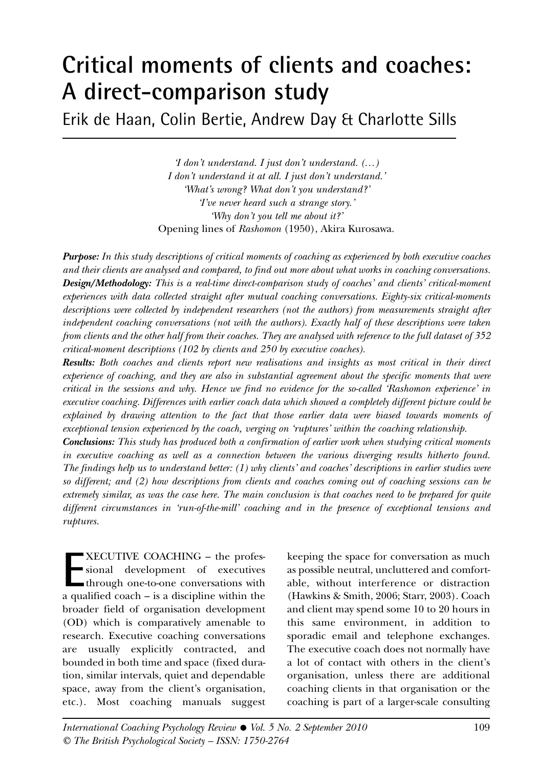# **Critical moments of clients and coaches: A direct-comparison study**

Erik de Haan, Colin Bertie, Andrew Day & Charlotte Sills

*'I don't understand. I just don't understand. (…) I don't understand it at all. I just don't understand.' 'What's wrong? What don't you understand?' 'I've never heard such a strange story.' 'Why don't you tell me about it?'* Opening lines of *Rashomon* (1950), Akira Kurosawa.

**Purpose:** *In this study descriptions of critical moments of coaching as experienced by both executive coaches and their clients are analysed and compared, to find out more about what works in coaching conversations.*  **Design/Methodology:** *This is a real-time direct-comparison study of coaches' and clients' critical-moment experiences with data collected straight after mutual coaching conversations. Eighty-six critical-moments descriptions were collected by independent researchers (not the authors) from measurements straight after independent coaching conversations (not with the authors). Exactly half of these descriptions were taken from clients and the other half from their coaches. They are analysed with reference to the full dataset of 352 critical-moment descriptions (102 by clients and 250 by executive coaches).* 

**Results:** *Both coaches and clients report new realisations and insights as most critical in their direct experience of coaching, and they are also in substantial agreement about the specific moments that were critical in the sessions and why. Hence we find no evidence for the so-called 'Rashomon experience' in executive coaching. Differences with earlier coach data which showed a completely different picture could be explained by drawing attention to the fact that those earlier data were biased towards moments of exceptional tension experienced by the coach, verging on 'ruptures' within the coaching relationship.* **Conclusions:** *This study has produced both a confirmation of earlier work when studying critical moments in executive coaching as well as a connection between the various diverging results hitherto found. The findings help us to understand better: (1) why clients' and coaches' descriptions in earlier studies were so different; and (2) how descriptions from clients and coaches coming out of coaching sessions can be extremely similar, as was the case here. The main conclusion is that coaches need to be prepared for quite different circumstances in 'run-of-the-mill' coaching and in the presence of exceptional tensions and ruptures.*

**EXECUTIVE COACHING – the professional development of executives<br>through one-to-one conversations with<br>a qualified coach – is a discipline within the** XECUTIVE COACHING – the professional development of executives through one-to-one conversations with broader field of organisation development (OD) which is comparatively amenable to research. Executive coaching conversations are usually explicitly contracted, and bounded in both time and space (fixed duration, similar intervals, quiet and dependable space, away from the client's organisation, etc.). Most coaching manuals suggest

keeping the space for conversation as much as possible neutral, uncluttered and comfortable, without interference or distraction (Hawkins & Smith, 2006; Starr, 2003). Coach and client may spend some 10 to 20 hours in this same environment, in addition to sporadic email and telephone exchanges. The executive coach does not normally have a lot of contact with others in the client's organisation, unless there are additional coaching clients in that organisation or the coaching is part of a larger-scale consulting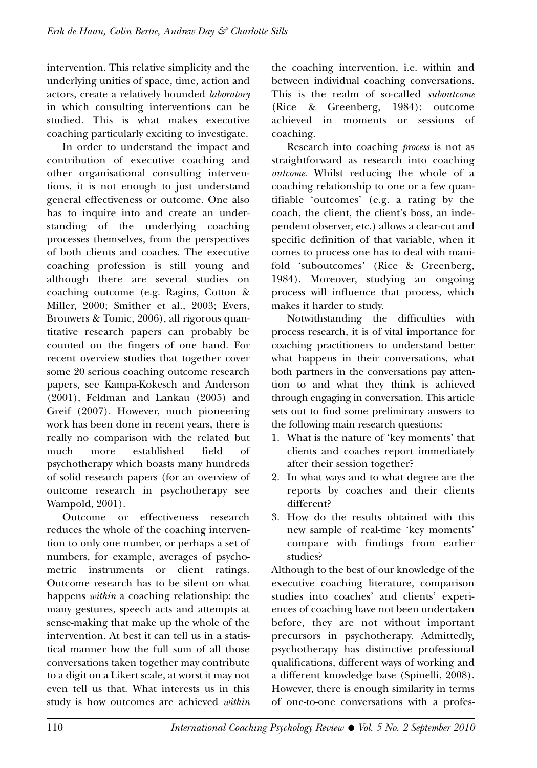intervention. This relative simplicity and the underlying unities of space, time, action and actors, create a relatively bounded *laboratory* in which consulting interventions can be studied. This is what makes executive coaching particularly exciting to investigate.

In order to understand the impact and contribution of executive coaching and other organisational consulting interventions, it is not enough to just understand general effectiveness or outcome. One also has to inquire into and create an understanding of the underlying coaching processes themselves, from the perspectives of both clients and coaches. The executive coaching profession is still young and although there are several studies on coaching outcome (e.g. Ragins, Cotton & Miller, 2000; Smither et al., 2003; Evers, Brouwers & Tomic, 2006), all rigorous quantitative research papers can probably be counted on the fingers of one hand. For recent overview studies that together cover some 20 serious coaching outcome research papers, see Kampa-Kokesch and Anderson (2001), Feldman and Lankau (2005) and Greif (2007). However, much pioneering work has been done in recent years, there is really no comparison with the related but much more established field of psychotherapy which boasts many hundreds of solid research papers (for an overview of outcome research in psychotherapy see Wampold, 2001).

Outcome or effectiveness research reduces the whole of the coaching intervention to only one number, or perhaps a set of numbers, for example, averages of psychometric instruments or client ratings. Outcome research has to be silent on what happens *within* a coaching relationship: the many gestures, speech acts and attempts at sense-making that make up the whole of the intervention. At best it can tell us in a statistical manner how the full sum of all those conversations taken together may contribute to a digit on a Likert scale, at worst it may not even tell us that. What interests us in this study is how outcomes are achieved *within*

the coaching intervention, i.e. within and between individual coaching conversations. This is the realm of so-called *suboutcome* (Rice & Greenberg, 1984): outcome achieved in moments or sessions of coaching.

Research into coaching *process* is not as straightforward as research into coaching *outcome*. Whilst reducing the whole of a coaching relationship to one or a few quantifiable 'outcomes' (e.g. a rating by the coach, the client, the client's boss, an independent observer, etc.) allows a clear-cut and specific definition of that variable, when it comes to process one has to deal with manifold 'suboutcomes' (Rice & Greenberg, 1984). Moreover, studying an ongoing process will influence that process, which makes it harder to study.

Notwithstanding the difficulties with process research, it is of vital importance for coaching practitioners to understand better what happens in their conversations, what both partners in the conversations pay attention to and what they think is achieved through engaging in conversation. This article sets out to find some preliminary answers to the following main research questions:

- 1. What is the nature of 'key moments' that clients and coaches report immediately after their session together?
- 2. In what ways and to what degree are the reports by coaches and their clients different?
- 3. How do the results obtained with this new sample of real-time 'key moments' compare with findings from earlier studies?

Although to the best of our knowledge of the executive coaching literature, comparison studies into coaches' and clients' experiences of coaching have not been undertaken before, they are not without important precursors in psychotherapy. Admittedly, psychotherapy has distinctive professional qualifications, different ways of working and a different knowledge base (Spinelli, 2008). However, there is enough similarity in terms of one-to-one conversations with a profes-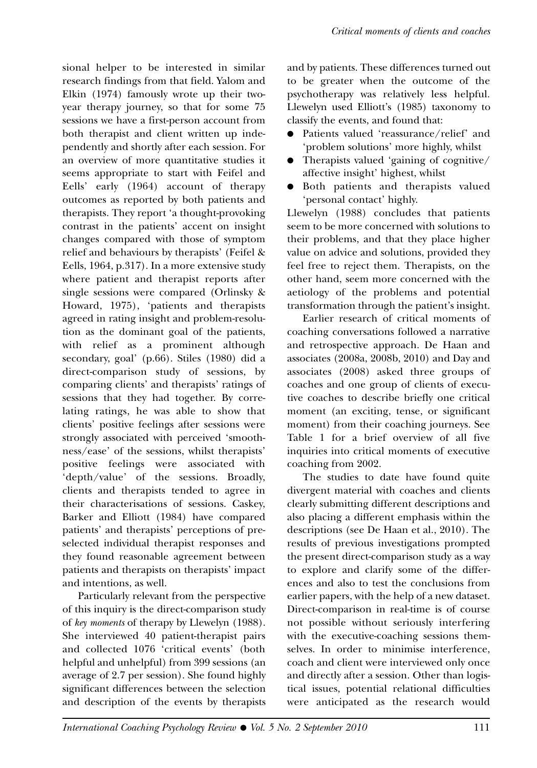sional helper to be interested in similar research findings from that field. Yalom and Elkin (1974) famously wrote up their twoyear therapy journey, so that for some 75 sessions we have a first-person account from both therapist and client written up independently and shortly after each session. For an overview of more quantitative studies it seems appropriate to start with Feifel and Eells' early (1964) account of therapy outcomes as reported by both patients and therapists. They report 'a thought-provoking contrast in the patients' accent on insight changes compared with those of symptom relief and behaviours by therapists' (Feifel & Eells, 1964, p.317). In a more extensive study where patient and therapist reports after single sessions were compared (Orlinsky & Howard, 1975), 'patients and therapists agreed in rating insight and problem-resolution as the dominant goal of the patients, with relief as a prominent although secondary, goal' (p.66). Stiles (1980) did a direct-comparison study of sessions, by comparing clients' and therapists' ratings of sessions that they had together. By correlating ratings, he was able to show that clients' positive feelings after sessions were strongly associated with perceived 'smoothness/ease' of the sessions, whilst therapists' positive feelings were associated with 'depth/value' of the sessions. Broadly, clients and therapists tended to agree in their characterisations of sessions. Caskey, Barker and Elliott (1984) have compared patients' and therapists' perceptions of preselected individual therapist responses and they found reasonable agreement between patients and therapists on therapists' impact and intentions, as well.

Particularly relevant from the perspective of this inquiry is the direct-comparison study of *key moments* of therapy by Llewelyn (1988). She interviewed 40 patient-therapist pairs and collected 1076 'critical events' (both helpful and unhelpful) from 399 sessions (an average of 2.7 per session). She found highly significant differences between the selection and description of the events by therapists and by patients. These differences turned out to be greater when the outcome of the psychotherapy was relatively less helpful. Llewelyn used Elliott's (1985) taxonomy to classify the events, and found that:

- Patients valued 'reassurance/relief' and 'problem solutions' more highly, whilst
- Therapists valued 'gaining of cognitive/ affective insight' highest, whilst
- Both patients and therapists valued 'personal contact' highly.

Llewelyn (1988) concludes that patients seem to be more concerned with solutions to their problems, and that they place higher value on advice and solutions, provided they feel free to reject them. Therapists, on the other hand, seem more concerned with the aetiology of the problems and potential transformation through the patient's insight.

Earlier research of critical moments of coaching conversations followed a narrative and retrospective approach. De Haan and associates (2008a, 2008b, 2010) and Day and associates (2008) asked three groups of coaches and one group of clients of executive coaches to describe briefly one critical moment (an exciting, tense, or significant moment) from their coaching journeys. See Table 1 for a brief overview of all five inquiries into critical moments of executive coaching from 2002.

The studies to date have found quite divergent material with coaches and clients clearly submitting different descriptions and also placing a different emphasis within the descriptions (see De Haan et al., 2010). The results of previous investigations prompted the present direct-comparison study as a way to explore and clarify some of the differences and also to test the conclusions from earlier papers, with the help of a new dataset. Direct-comparison in real-time is of course not possible without seriously interfering with the executive-coaching sessions themselves. In order to minimise interference, coach and client were interviewed only once and directly after a session. Other than logistical issues, potential relational difficulties were anticipated as the research would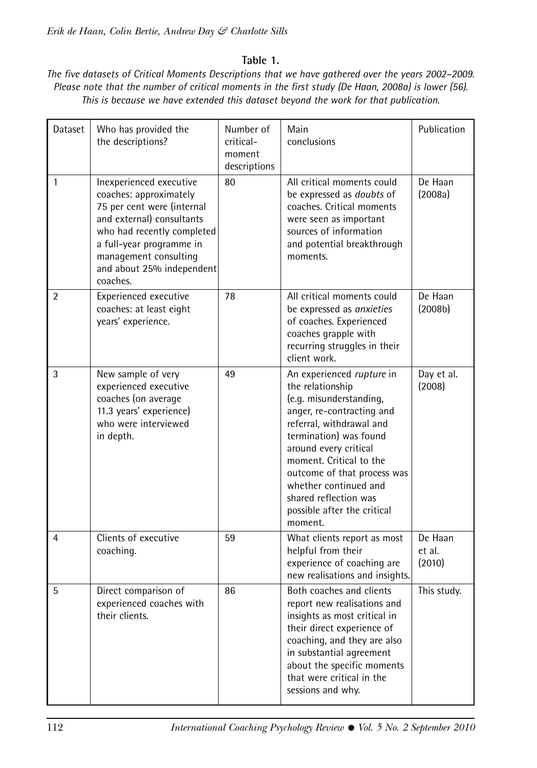## **Table 1.**

*The five datasets of Critical Moments Descriptions that we have gathered over the years 2002–2009. Please note that the number of critical moments in the first study (De Haan, 2008a) is lower (56). This is because we have extended this dataset beyond the work for that publication.* 

| Dataset | Who has provided the<br>the descriptions?                                                                                                                                                                                                | Number of<br>critical-<br>moment<br>descriptions | Main<br>conclusions                                                                                                                                                                                                                                                                                                                        | Publication                 |
|---------|------------------------------------------------------------------------------------------------------------------------------------------------------------------------------------------------------------------------------------------|--------------------------------------------------|--------------------------------------------------------------------------------------------------------------------------------------------------------------------------------------------------------------------------------------------------------------------------------------------------------------------------------------------|-----------------------------|
| 1       | Inexperienced executive<br>coaches: approximately<br>75 per cent were (internal<br>and external) consultants<br>who had recently completed<br>a full-year programme in<br>management consulting<br>and about 25% independent<br>coaches. | 80                                               | All critical moments could<br>be expressed as <i>doubts</i> of<br>coaches. Critical moments<br>were seen as important<br>sources of information<br>and potential breakthrough<br>moments.                                                                                                                                                  | De Haan<br>(2008a)          |
| 2       | Experienced executive<br>coaches: at least eight<br>years' experience.                                                                                                                                                                   | 78                                               | All critical moments could<br>be expressed as anxieties<br>of coaches. Experienced<br>coaches grapple with<br>recurring struggles in their<br>client work.                                                                                                                                                                                 | De Haan<br>(2008b)          |
| 3       | New sample of very<br>experienced executive<br>coaches (on average<br>11.3 years' experience)<br>who were interviewed<br>in depth.                                                                                                       | 49                                               | An experienced rupture in<br>the relationship<br>(e.g. misunderstanding,<br>anger, re-contracting and<br>referral, withdrawal and<br>termination) was found<br>around every critical<br>moment. Critical to the<br>outcome of that process was<br>whether continued and<br>shared reflection was<br>possible after the critical<br>moment. | Day et al.<br>(2008)        |
| 4       | Clients of executive<br>coaching.                                                                                                                                                                                                        | 59                                               | What clients report as most<br>helpful from their<br>experience of coaching are<br>new realisations and insights.                                                                                                                                                                                                                          | De Haan<br>et al.<br>(2010) |
| 5       | Direct comparison of<br>experienced coaches with<br>their clients.                                                                                                                                                                       | 86                                               | Both coaches and clients<br>report new realisations and<br>insights as most critical in<br>their direct experience of<br>coaching, and they are also<br>in substantial agreement<br>about the specific moments<br>that were critical in the<br>sessions and why.                                                                           | This study.                 |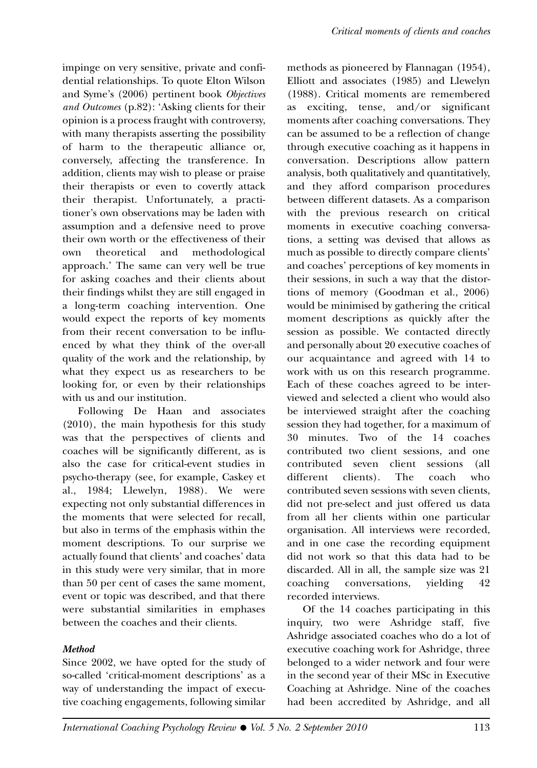impinge on very sensitive, private and confidential relationships. To quote Elton Wilson and Syme's (2006) pertinent book *Objectives and Outcomes* (p.82): 'Asking clients for their opinion is a process fraught with controversy, with many therapists asserting the possibility of harm to the therapeutic alliance or, conversely, affecting the transference. In addition, clients may wish to please or praise their therapists or even to covertly attack their therapist. Unfortunately, a practitioner's own observations may be laden with assumption and a defensive need to prove their own worth or the effectiveness of their own theoretical and methodological approach.' The same can very well be true for asking coaches and their clients about their findings whilst they are still engaged in a long-term coaching intervention. One would expect the reports of key moments from their recent conversation to be influenced by what they think of the over-all quality of the work and the relationship, by what they expect us as researchers to be looking for, or even by their relationships with us and our institution.

Following De Haan and associates (2010), the main hypothesis for this study was that the perspectives of clients and coaches will be significantly different, as is also the case for critical-event studies in psycho-therapy (see, for example, Caskey et al., 1984; Llewelyn, 1988). We were expecting not only substantial differences in the moments that were selected for recall, but also in terms of the emphasis within the moment descriptions. To our surprise we actually found that clients' and coaches' data in this study were very similar, that in more than 50 per cent of cases the same moment, event or topic was described, and that there were substantial similarities in emphases between the coaches and their clients.

## **Method**

Since 2002, we have opted for the study of so-called 'critical-moment descriptions' as a way of understanding the impact of executive coaching engagements, following similar

methods as pioneered by Flannagan (1954), Elliott and associates (1985) and Llewelyn (1988). Critical moments are remembered as exciting, tense, and/or significant moments after coaching conversations. They can be assumed to be a reflection of change through executive coaching as it happens in conversation. Descriptions allow pattern analysis, both qualitatively and quantitatively, and they afford comparison procedures between different datasets. As a comparison with the previous research on critical moments in executive coaching conversations, a setting was devised that allows as much as possible to directly compare clients' and coaches' perceptions of key moments in their sessions, in such a way that the distortions of memory (Goodman et al., 2006) would be minimised by gathering the critical moment descriptions as quickly after the session as possible. We contacted directly and personally about 20 executive coaches of our acquaintance and agreed with 14 to work with us on this research programme. Each of these coaches agreed to be interviewed and selected a client who would also be interviewed straight after the coaching session they had together, for a maximum of 30 minutes. Two of the 14 coaches contributed two client sessions, and one contributed seven client sessions (all different clients). The coach who contributed seven sessions with seven clients, did not pre-select and just offered us data from all her clients within one particular organisation. All interviews were recorded, and in one case the recording equipment did not work so that this data had to be discarded. All in all, the sample size was 21 coaching conversations, yielding 42 recorded interviews.

Of the 14 coaches participating in this inquiry, two were Ashridge staff, five Ashridge associated coaches who do a lot of executive coaching work for Ashridge, three belonged to a wider network and four were in the second year of their MSc in Executive Coaching at Ashridge. Nine of the coaches had been accredited by Ashridge, and all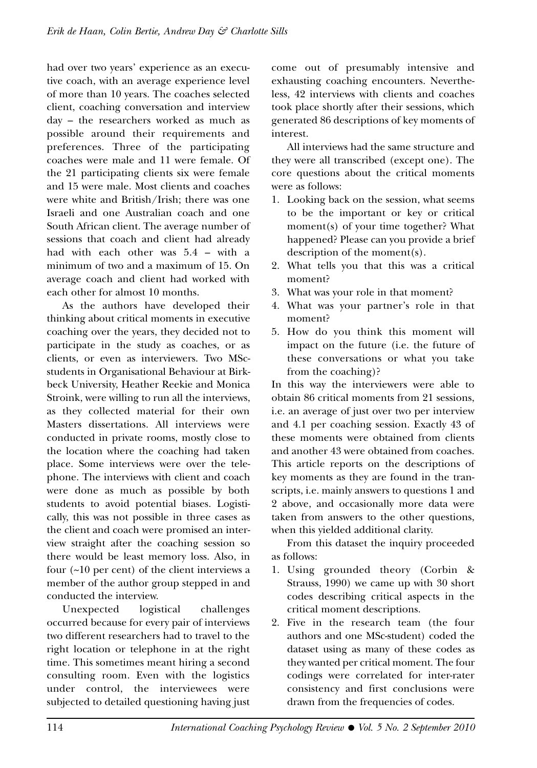had over two years' experience as an executive coach, with an average experience level of more than 10 years. The coaches selected client, coaching conversation and interview day – the researchers worked as much as possible around their requirements and preferences. Three of the participating coaches were male and 11 were female. Of the 21 participating clients six were female and 15 were male. Most clients and coaches were white and British/Irish; there was one Israeli and one Australian coach and one South African client. The average number of sessions that coach and client had already had with each other was 5.4 – with a minimum of two and a maximum of 15. On average coach and client had worked with each other for almost 10 months.

As the authors have developed their thinking about critical moments in executive coaching over the years, they decided not to participate in the study as coaches, or as clients, or even as interviewers. Two MScstudents in Organisational Behaviour at Birkbeck University, Heather Reekie and Monica Stroink, were willing to run all the interviews, as they collected material for their own Masters dissertations. All interviews were conducted in private rooms, mostly close to the location where the coaching had taken place. Some interviews were over the telephone. The interviews with client and coach were done as much as possible by both students to avoid potential biases. Logistically, this was not possible in three cases as the client and coach were promised an interview straight after the coaching session so there would be least memory loss. Also, in four (~10 per cent) of the client interviews a member of the author group stepped in and conducted the interview.

Unexpected logistical challenges occurred because for every pair of interviews two different researchers had to travel to the right location or telephone in at the right time. This sometimes meant hiring a second consulting room. Even with the logistics under control, the interviewees were subjected to detailed questioning having just come out of presumably intensive and exhausting coaching encounters. Nevertheless, 42 interviews with clients and coaches took place shortly after their sessions, which generated 86 descriptions of key moments of interest.

All interviews had the same structure and they were all transcribed (except one). The core questions about the critical moments were as follows:

- 1. Looking back on the session, what seems to be the important or key or critical moment(s) of your time together? What happened? Please can you provide a brief description of the moment(s).
- 2. What tells you that this was a critical moment?
- 3. What was your role in that moment?
- 4. What was your partner's role in that moment?
- 5. How do you think this moment will impact on the future (i.e. the future of these conversations or what you take from the coaching)?

In this way the interviewers were able to obtain 86 critical moments from 21 sessions, i.e. an average of just over two per interview and 4.1 per coaching session. Exactly 43 of these moments were obtained from clients and another 43 were obtained from coaches. This article reports on the descriptions of key moments as they are found in the transcripts, i.e. mainly answers to questions 1 and 2 above, and occasionally more data were taken from answers to the other questions, when this yielded additional clarity.

From this dataset the inquiry proceeded as follows:

- 1. Using grounded theory (Corbin & Strauss, 1990) we came up with 30 short codes describing critical aspects in the critical moment descriptions.
- 2. Five in the research team (the four authors and one MSc-student) coded the dataset using as many of these codes as they wanted per critical moment. The four codings were correlated for inter-rater consistency and first conclusions were drawn from the frequencies of codes.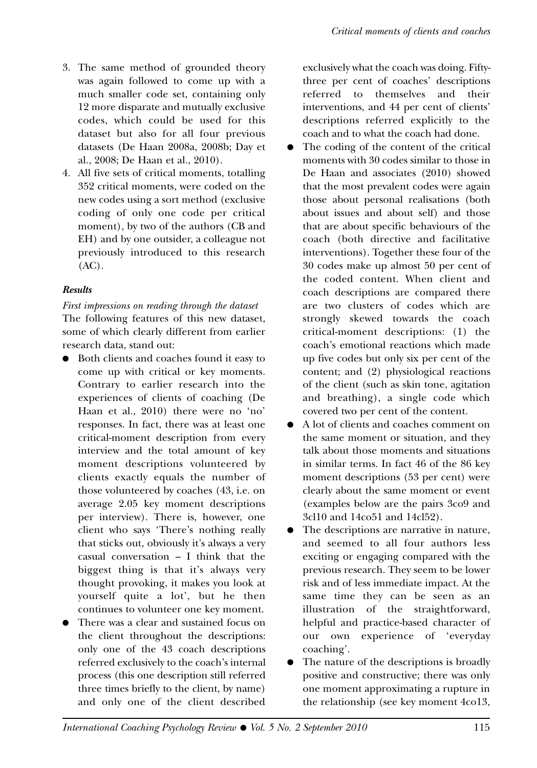- 3. The same method of grounded theory was again followed to come up with a much smaller code set, containing only 12 more disparate and mutually exclusive codes, which could be used for this dataset but also for all four previous datasets (De Haan 2008a, 2008b; Day et al., 2008; De Haan et al., 2010).
- 4. All five sets of critical moments, totalling 352 critical moments, were coded on the new codes using a sort method (exclusive coding of only one code per critical moment), by two of the authors (CB and EH) and by one outsider, a colleague not previously introduced to this research (AC).

### **Results**

*First impressions on reading through the dataset* The following features of this new dataset, some of which clearly different from earlier research data, stand out:

- Both clients and coaches found it easy to come up with critical or key moments. Contrary to earlier research into the experiences of clients of coaching (De Haan et al., 2010) there were no 'no' responses. In fact, there was at least one critical-moment description from every interview and the total amount of key moment descriptions volunteered by clients exactly equals the number of those volunteered by coaches (43, i.e. on average 2.05 key moment descriptions per interview). There is, however, one client who says 'There's nothing really that sticks out, obviously it's always a very casual conversation – I think that the biggest thing is that it's always very thought provoking, it makes you look at yourself quite a lot', but he then continues to volunteer one key moment.
- There was a clear and sustained focus on the client throughout the descriptions: only one of the 43 coach descriptions referred exclusively to the coach's internal process (this one description still referred three times briefly to the client, by name) and only one of the client described

exclusively what the coach was doing. Fiftythree per cent of coaches' descriptions referred to themselves and their interventions, and 44 per cent of clients' descriptions referred explicitly to the coach and to what the coach had done.

- The coding of the content of the critical moments with 30 codes similar to those in De Haan and associates (2010) showed that the most prevalent codes were again those about personal realisations (both about issues and about self) and those that are about specific behaviours of the coach (both directive and facilitative interventions). Together these four of the 30 codes make up almost 50 per cent of the coded content. When client and coach descriptions are compared there are two clusters of codes which are strongly skewed towards the coach critical-moment descriptions: (1) the coach's emotional reactions which made up five codes but only six per cent of the content; and (2) physiological reactions of the client (such as skin tone, agitation and breathing), a single code which covered two per cent of the content.
- A lot of clients and coaches comment on the same moment or situation, and they talk about those moments and situations in similar terms. In fact 46 of the 86 key moment descriptions (53 per cent) were clearly about the same moment or event (examples below are the pairs 3co9 and 3cl10 and 14co51 and 14cl52).
- The descriptions are narrative in nature, and seemed to all four authors less exciting or engaging compared with the previous research. They seem to be lower risk and of less immediate impact. At the same time they can be seen as an illustration of the straightforward, helpful and practice-based character of our own experience of 'everyday coaching'.
- The nature of the descriptions is broadly positive and constructive; there was only one moment approximating a rupture in the relationship (see key moment 4co13,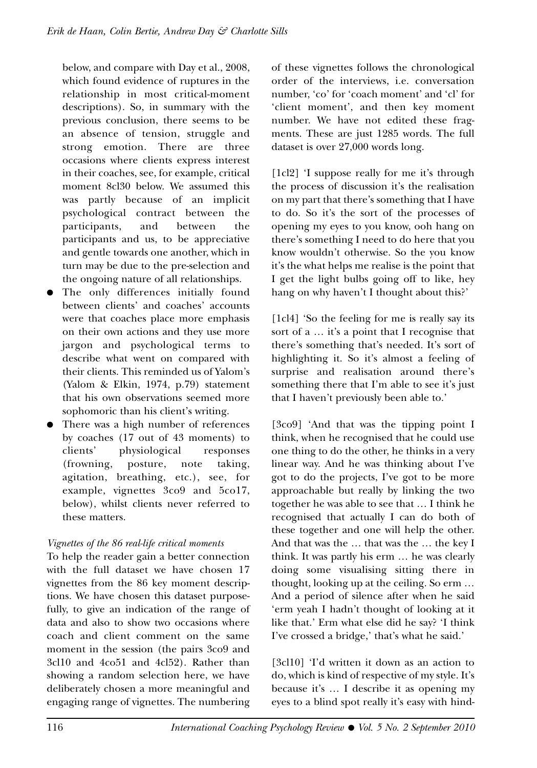below, and compare with Day et al., 2008, which found evidence of ruptures in the relationship in most critical-moment descriptions). So, in summary with the previous conclusion, there seems to be an absence of tension, struggle and strong emotion. There are three occasions where clients express interest in their coaches, see, for example, critical moment 8cl30 below. We assumed this was partly because of an implicit psychological contract between the participants, and between the participants and us, to be appreciative and gentle towards one another, which in turn may be due to the pre-selection and the ongoing nature of all relationships.

- The only differences initially found between clients' and coaches' accounts were that coaches place more emphasis on their own actions and they use more jargon and psychological terms to describe what went on compared with their clients. This reminded us of Yalom's (Yalom & Elkin, 1974, p.79) statement that his own observations seemed more sophomoric than his client's writing.
- There was a high number of references by coaches (17 out of 43 moments) to clients' physiological responses (frowning, posture, note taking, agitation, breathing, etc.), see, for example, vignettes 3co9 and 5co17, below), whilst clients never referred to these matters.

## *Vignettes of the 86 real-life critical moments*

To help the reader gain a better connection with the full dataset we have chosen 17 vignettes from the 86 key moment descriptions. We have chosen this dataset purposefully, to give an indication of the range of data and also to show two occasions where coach and client comment on the same moment in the session (the pairs 3co9 and 3cl10 and 4co51 and 4cl52). Rather than showing a random selection here, we have deliberately chosen a more meaningful and engaging range of vignettes. The numbering

of these vignettes follows the chronological order of the interviews, i.e. conversation number, 'co' for 'coach moment' and 'cl' for 'client moment', and then key moment number. We have not edited these fragments. These are just 1285 words. The full dataset is over 27,000 words long.

[1cl2] 'I suppose really for me it's through the process of discussion it's the realisation on my part that there's something that I have to do. So it's the sort of the processes of opening my eyes to you know, ooh hang on there's something I need to do here that you know wouldn't otherwise. So the you know it's the what helps me realise is the point that I get the light bulbs going off to like, hey hang on why haven't I thought about this?'

[1cl4] 'So the feeling for me is really say its sort of a … it's a point that I recognise that there's something that's needed. It's sort of highlighting it. So it's almost a feeling of surprise and realisation around there's something there that I'm able to see it's just that I haven't previously been able to.'

[3co9] 'And that was the tipping point I think, when he recognised that he could use one thing to do the other, he thinks in a very linear way. And he was thinking about I've got to do the projects, I've got to be more approachable but really by linking the two together he was able to see that … I think he recognised that actually I can do both of these together and one will help the other. And that was the … that was the … the key I think. It was partly his erm … he was clearly doing some visualising sitting there in thought, looking up at the ceiling. So erm … And a period of silence after when he said 'erm yeah I hadn't thought of looking at it like that.' Erm what else did he say? 'I think I've crossed a bridge,' that's what he said.'

[3cl10] 'I'd written it down as an action to do, which is kind of respective of my style. It's because it's … I describe it as opening my eyes to a blind spot really it's easy with hind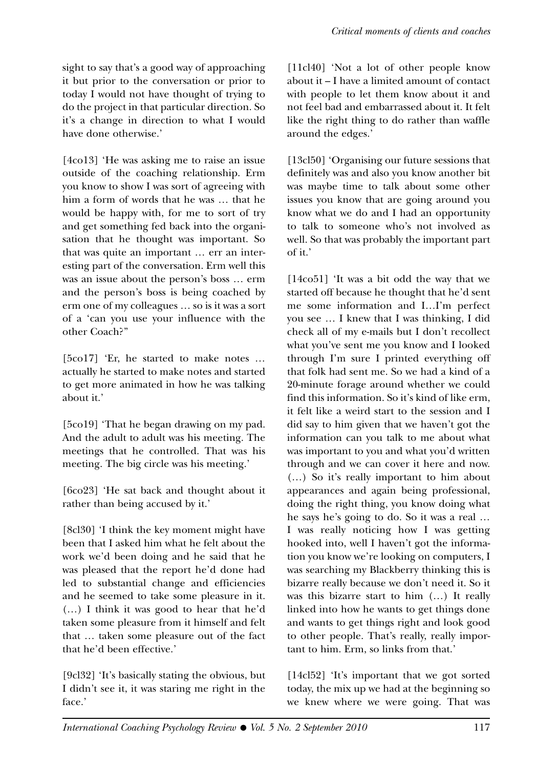sight to say that's a good way of approaching it but prior to the conversation or prior to today I would not have thought of trying to do the project in that particular direction. So it's a change in direction to what I would have done otherwise.'

[4co13] 'He was asking me to raise an issue outside of the coaching relationship. Erm you know to show I was sort of agreeing with him a form of words that he was … that he would be happy with, for me to sort of try and get something fed back into the organisation that he thought was important. So that was quite an important … err an interesting part of the conversation. Erm well this was an issue about the person's boss … erm and the person's boss is being coached by erm one of my colleagues … so is it was a sort of a 'can you use your influence with the other Coach?''

[5co17] 'Er, he started to make notes ... actually he started to make notes and started to get more animated in how he was talking about it.'

[5co19] 'That he began drawing on my pad. And the adult to adult was his meeting. The meetings that he controlled. That was his meeting. The big circle was his meeting.'

[6co23] 'He sat back and thought about it rather than being accused by it.'

[8cl30] 'I think the key moment might have been that I asked him what he felt about the work we'd been doing and he said that he was pleased that the report he'd done had led to substantial change and efficiencies and he seemed to take some pleasure in it. (…) I think it was good to hear that he'd taken some pleasure from it himself and felt that … taken some pleasure out of the fact that he'd been effective.'

[9cl32] 'It's basically stating the obvious, but I didn't see it, it was staring me right in the face.'

[11cl40] 'Not a lot of other people know about it – I have a limited amount of contact with people to let them know about it and not feel bad and embarrassed about it. It felt like the right thing to do rather than waffle around the edges.'

[13cl50] 'Organising our future sessions that definitely was and also you know another bit was maybe time to talk about some other issues you know that are going around you know what we do and I had an opportunity to talk to someone who's not involved as well. So that was probably the important part of it.'

[14co51] 'It was a bit odd the way that we started off because he thought that he'd sent me some information and I…I'm perfect you see … I knew that I was thinking, I did check all of my e-mails but I don't recollect what you've sent me you know and I looked through I'm sure I printed everything off that folk had sent me. So we had a kind of a 20-minute forage around whether we could find this information. So it's kind of like erm, it felt like a weird start to the session and I did say to him given that we haven't got the information can you talk to me about what was important to you and what you'd written through and we can cover it here and now. (…) So it's really important to him about appearances and again being professional, doing the right thing, you know doing what he says he's going to do. So it was a real … I was really noticing how I was getting hooked into, well I haven't got the information you know we're looking on computers, I was searching my Blackberry thinking this is bizarre really because we don't need it. So it was this bizarre start to him (…) It really linked into how he wants to get things done and wants to get things right and look good to other people. That's really, really important to him. Erm, so links from that.'

[14cl52] 'It's important that we got sorted today, the mix up we had at the beginning so we knew where we were going. That was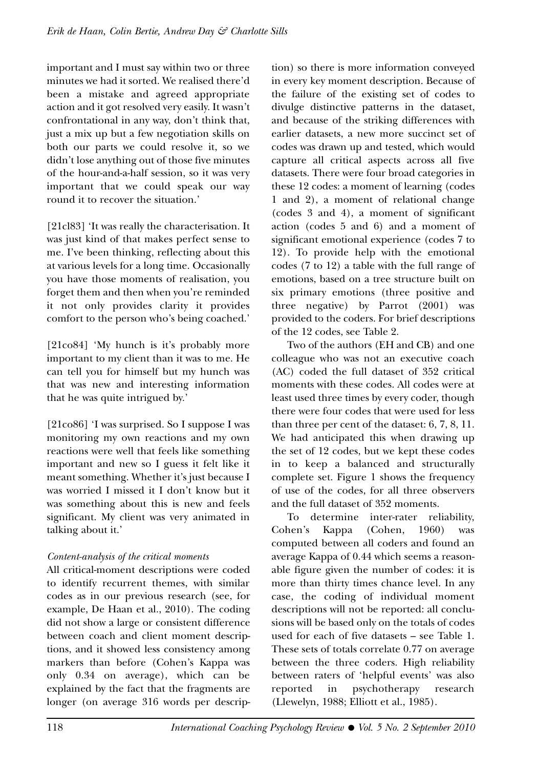important and I must say within two or three minutes we had it sorted. We realised there'd been a mistake and agreed appropriate action and it got resolved very easily. It wasn't confrontational in any way, don't think that, just a mix up but a few negotiation skills on both our parts we could resolve it, so we didn't lose anything out of those five minutes of the hour-and-a-half session, so it was very important that we could speak our way round it to recover the situation.'

[21cl83] 'It was really the characterisation. It was just kind of that makes perfect sense to me. I've been thinking, reflecting about this at various levels for a long time. Occasionally you have those moments of realisation, you forget them and then when you're reminded it not only provides clarity it provides comfort to the person who's being coached.'

[21co84] 'My hunch is it's probably more important to my client than it was to me. He can tell you for himself but my hunch was that was new and interesting information that he was quite intrigued by.'

[21co86] 'I was surprised. So I suppose I was monitoring my own reactions and my own reactions were well that feels like something important and new so I guess it felt like it meant something. Whether it's just because I was worried I missed it I don't know but it was something about this is new and feels significant. My client was very animated in talking about it.'

## *Content-analysis of the critical moments*

All critical-moment descriptions were coded to identify recurrent themes, with similar codes as in our previous research (see, for example, De Haan et al., 2010). The coding did not show a large or consistent difference between coach and client moment descriptions, and it showed less consistency among markers than before (Cohen's Kappa was only 0.34 on average), which can be explained by the fact that the fragments are longer (on average 316 words per description) so there is more information conveyed in every key moment description. Because of the failure of the existing set of codes to divulge distinctive patterns in the dataset, and because of the striking differences with earlier datasets, a new more succinct set of codes was drawn up and tested, which would capture all critical aspects across all five datasets. There were four broad categories in these 12 codes: a moment of learning (codes 1 and 2), a moment of relational change (codes 3 and 4), a moment of significant action (codes 5 and 6) and a moment of significant emotional experience (codes 7 to 12). To provide help with the emotional codes (7 to 12) a table with the full range of emotions, based on a tree structure built on six primary emotions (three positive and three negative) by Parrot (2001) was provided to the coders. For brief descriptions of the 12 codes, see Table 2.

Two of the authors (EH and CB) and one colleague who was not an executive coach (AC) coded the full dataset of 352 critical moments with these codes. All codes were at least used three times by every coder, though there were four codes that were used for less than three per cent of the dataset: 6, 7, 8, 11. We had anticipated this when drawing up the set of 12 codes, but we kept these codes in to keep a balanced and structurally complete set. Figure 1 shows the frequency of use of the codes, for all three observers and the full dataset of 352 moments.

To determine inter-rater reliability, Cohen's Kappa (Cohen, 1960) was computed between all coders and found an average Kappa of 0.44 which seems a reasonable figure given the number of codes: it is more than thirty times chance level. In any case, the coding of individual moment descriptions will not be reported: all conclusions will be based only on the totals of codes used for each of five datasets – see Table 1. These sets of totals correlate 0.77 on average between the three coders. High reliability between raters of 'helpful events' was also reported in psychotherapy research (Llewelyn, 1988; Elliott et al., 1985).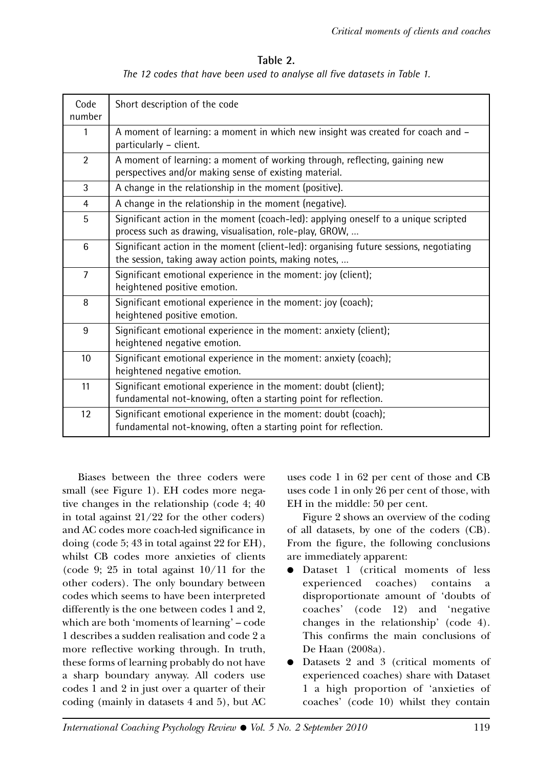#### **Table 2.**

*The 12 codes that have been used to analyse all five datasets in Table 1.*

| Code<br>number | Short description of the code                                                                                                                   |  |  |
|----------------|-------------------------------------------------------------------------------------------------------------------------------------------------|--|--|
| $\mathbf{1}$   | A moment of learning: a moment in which new insight was created for coach and -<br>particularly - client.                                       |  |  |
| $\overline{2}$ | A moment of learning: a moment of working through, reflecting, gaining new<br>perspectives and/or making sense of existing material.            |  |  |
| 3              | A change in the relationship in the moment (positive).                                                                                          |  |  |
| 4              | A change in the relationship in the moment (negative).                                                                                          |  |  |
| 5              | Significant action in the moment (coach-led): applying oneself to a unique scripted<br>process such as drawing, visualisation, role-play, GROW, |  |  |
| 6              | Significant action in the moment (client-led): organising future sessions, negotiating<br>the session, taking away action points, making notes, |  |  |
| $\overline{7}$ | Significant emotional experience in the moment: joy (client);<br>heightened positive emotion.                                                   |  |  |
| 8              | Significant emotional experience in the moment: joy (coach);<br>heightened positive emotion.                                                    |  |  |
| 9              | Significant emotional experience in the moment: anxiety (client);<br>heightened negative emotion.                                               |  |  |
| 10             | Significant emotional experience in the moment: anxiety (coach);<br>heightened negative emotion.                                                |  |  |
| 11             | Significant emotional experience in the moment: doubt (client);<br>fundamental not-knowing, often a starting point for reflection.              |  |  |
| 12             | Significant emotional experience in the moment: doubt (coach);<br>fundamental not-knowing, often a starting point for reflection.               |  |  |

Biases between the three coders were small (see Figure 1). EH codes more negative changes in the relationship (code 4; 40 in total against 21/22 for the other coders) and AC codes more coach-led significance in doing (code 5; 43 in total against 22 for EH), whilst CB codes more anxieties of clients (code 9; 25 in total against  $10/11$  for the other coders). The only boundary between codes which seems to have been interpreted differently is the one between codes 1 and 2, which are both 'moments of learning' – code 1 describes a sudden realisation and code 2 a more reflective working through. In truth, these forms of learning probably do not have a sharp boundary anyway. All coders use codes 1 and 2 in just over a quarter of their coding (mainly in datasets 4 and 5), but AC uses code 1 in 62 per cent of those and CB uses code 1 in only 26 per cent of those, with EH in the middle: 50 per cent.

Figure 2 shows an overview of the coding of all datasets, by one of the coders (CB). From the figure, the following conclusions are immediately apparent:

- Dataset 1 (critical moments of less experienced coaches) contains a disproportionate amount of 'doubts of coaches' (code 12) and 'negative changes in the relationship' (code 4). This confirms the main conclusions of De Haan (2008a).
- Datasets 2 and 3 (critical moments of experienced coaches) share with Dataset 1 a high proportion of 'anxieties of coaches' (code 10) whilst they contain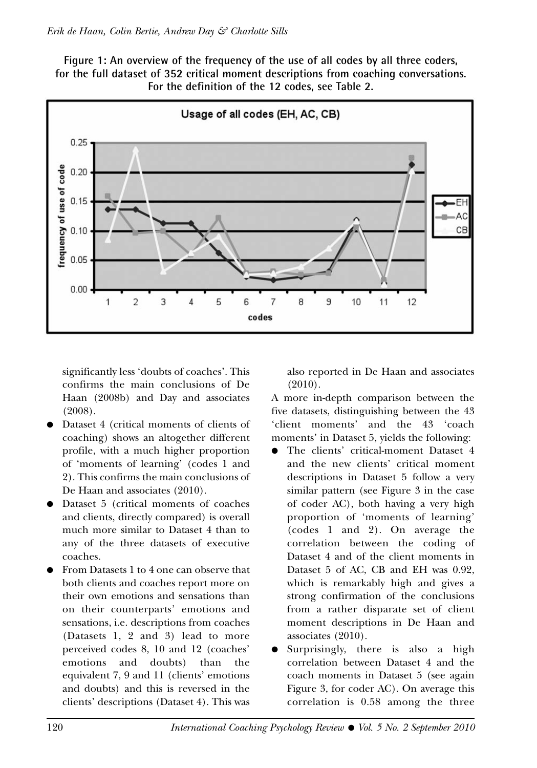**Figure 1: An overview of the frequency of the use of all codes by all three coders, for the full dataset of 352 critical moment descriptions from coaching conversations. For the definition of the 12 codes, see Table 2.**



significantly less 'doubts of coaches'. This confirms the main conclusions of De Haan (2008b) and Day and associates (2008).

- Dataset 4 (critical moments of clients of coaching) shows an altogether different profile, with a much higher proportion of 'moments of learning' (codes 1 and 2). This confirms the main conclusions of De Haan and associates (2010).
- Dataset 5 (critical moments of coaches and clients, directly compared) is overall much more similar to Dataset 4 than to any of the three datasets of executive coaches.
- From Datasets 1 to 4 one can observe that both clients and coaches report more on their own emotions and sensations than on their counterparts' emotions and sensations, i.e. descriptions from coaches (Datasets 1, 2 and 3) lead to more perceived codes 8, 10 and 12 (coaches' emotions and doubts) than the equivalent 7, 9 and 11 (clients' emotions and doubts) and this is reversed in the clients' descriptions (Dataset 4). This was

also reported in De Haan and associates (2010).

A more in-depth comparison between the five datasets, distinguishing between the 43 'client moments' and the 43 'coach moments' in Dataset 5, yields the following:

- The clients' critical-moment Dataset 4 and the new clients' critical moment descriptions in Dataset 5 follow a very similar pattern (see Figure 3 in the case of coder AC), both having a very high proportion of 'moments of learning' (codes 1 and 2). On average the correlation between the coding of Dataset 4 and of the client moments in Dataset 5 of AC, CB and EH was 0.92, which is remarkably high and gives a strong confirmation of the conclusions from a rather disparate set of client moment descriptions in De Haan and associates (2010).
- Surprisingly, there is also a high correlation between Dataset 4 and the coach moments in Dataset 5 (see again Figure 3, for coder AC). On average this correlation is 0.58 among the three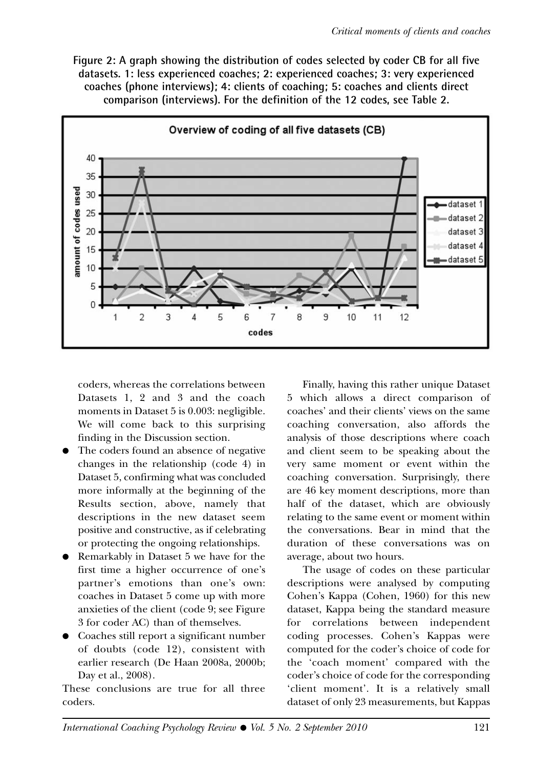**Figure 2: A graph showing the distribution of codes selected by coder CB for all five datasets. 1: less experienced coaches; 2: experienced coaches; 3: very experienced coaches (phone interviews); 4: clients of coaching; 5: coaches and clients direct comparison (interviews). For the definition of the 12 codes, see Table 2.**



coders, whereas the correlations between Datasets 1, 2 and 3 and the coach moments in Dataset 5 is 0.003: negligible. We will come back to this surprising finding in the Discussion section.

- The coders found an absence of negative changes in the relationship (code 4) in Dataset 5, confirming what was concluded more informally at the beginning of the Results section, above, namely that descriptions in the new dataset seem positive and constructive, as if celebrating or protecting the ongoing relationships.
- Remarkably in Dataset 5 we have for the first time a higher occurrence of one's partner's emotions than one's own: coaches in Dataset 5 come up with more anxieties of the client (code 9; see Figure 3 for coder AC) than of themselves.
- Coaches still report a significant number of doubts (code 12), consistent with earlier research (De Haan 2008a, 2000b; Day et al., 2008).

These conclusions are true for all three coders.

Finally, having this rather unique Dataset 5 which allows a direct comparison of coaches' and their clients' views on the same coaching conversation, also affords the analysis of those descriptions where coach and client seem to be speaking about the very same moment or event within the coaching conversation. Surprisingly, there are 46 key moment descriptions, more than half of the dataset, which are obviously relating to the same event or moment within the conversations. Bear in mind that the duration of these conversations was on average, about two hours.

The usage of codes on these particular descriptions were analysed by computing Cohen's Kappa (Cohen, 1960) for this new dataset, Kappa being the standard measure for correlations between independent coding processes. Cohen's Kappas were computed for the coder's choice of code for the 'coach moment' compared with the coder's choice of code for the corresponding 'client moment'. It is a relatively small dataset of only 23 measurements, but Kappas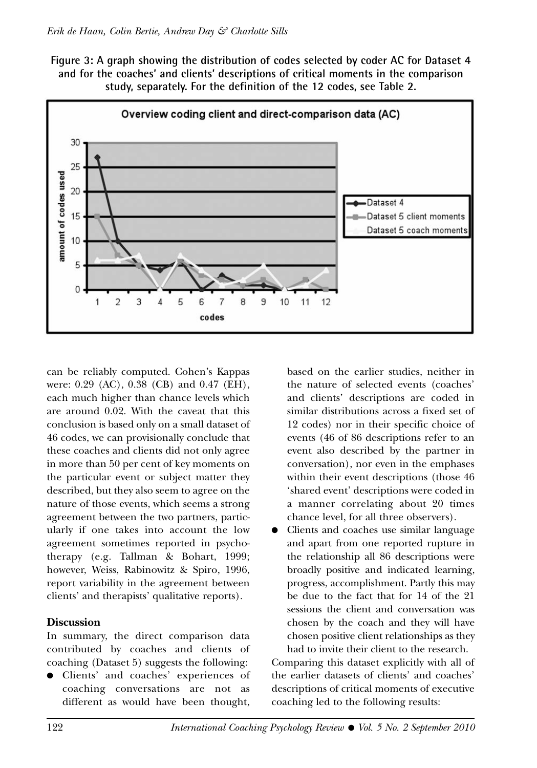**Figure 3: A graph showing the distribution of codes selected by coder AC for Dataset 4 and for the coaches' and clients' descriptions of critical moments in the comparison study, separately. For the definition of the 12 codes, see Table 2.**



can be reliably computed. Cohen's Kappas were: 0.29 (AC), 0.38 (CB) and 0.47 (EH), each much higher than chance levels which are around 0.02. With the caveat that this conclusion is based only on a small dataset of 46 codes, we can provisionally conclude that these coaches and clients did not only agree in more than 50 per cent of key moments on the particular event or subject matter they described, but they also seem to agree on the nature of those events, which seems a strong agreement between the two partners, particularly if one takes into account the low agreement sometimes reported in psychotherapy (e.g. Tallman & Bohart, 1999; however, Weiss, Rabinowitz & Spiro, 1996, report variability in the agreement between clients' and therapists' qualitative reports).

#### **Discussion**

In summary, the direct comparison data contributed by coaches and clients of coaching (Dataset 5) suggests the following:

Clients' and coaches' experiences of coaching conversations are not as different as would have been thought,

based on the earlier studies, neither in the nature of selected events (coaches' and clients' descriptions are coded in similar distributions across a fixed set of 12 codes) nor in their specific choice of events (46 of 86 descriptions refer to an event also described by the partner in conversation), nor even in the emphases within their event descriptions (those 46 'shared event' descriptions were coded in a manner correlating about 20 times chance level, for all three observers).

Clients and coaches use similar language and apart from one reported rupture in the relationship all 86 descriptions were broadly positive and indicated learning, progress, accomplishment. Partly this may be due to the fact that for 14 of the 21 sessions the client and conversation was chosen by the coach and they will have chosen positive client relationships as they had to invite their client to the research.

Comparing this dataset explicitly with all of the earlier datasets of clients' and coaches' descriptions of critical moments of executive coaching led to the following results: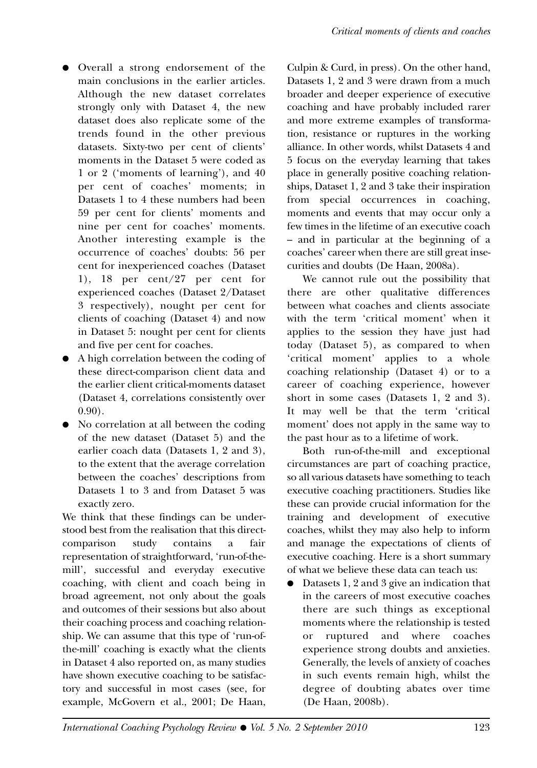- Overall a strong endorsement of the main conclusions in the earlier articles. Although the new dataset correlates strongly only with Dataset 4, the new dataset does also replicate some of the trends found in the other previous datasets. Sixty-two per cent of clients' moments in the Dataset 5 were coded as 1 or 2 ('moments of learning'), and 40 per cent of coaches' moments; in Datasets 1 to 4 these numbers had been 59 per cent for clients' moments and nine per cent for coaches' moments. Another interesting example is the occurrence of coaches' doubts: 56 per cent for inexperienced coaches (Dataset 1), 18 per cent/27 per cent for experienced coaches (Dataset 2/Dataset 3 respectively), nought per cent for clients of coaching (Dataset 4) and now in Dataset 5: nought per cent for clients and five per cent for coaches.
- A high correlation between the coding of these direct-comparison client data and the earlier client critical-moments dataset (Dataset 4, correlations consistently over 0.90).
- No correlation at all between the coding of the new dataset (Dataset 5) and the earlier coach data (Datasets 1, 2 and 3), to the extent that the average correlation between the coaches' descriptions from Datasets 1 to 3 and from Dataset 5 was exactly zero.

We think that these findings can be understood best from the realisation that this directcomparison study contains a fair representation of straightforward, 'run-of-themill', successful and everyday executive coaching, with client and coach being in broad agreement, not only about the goals and outcomes of their sessions but also about their coaching process and coaching relationship. We can assume that this type of 'run-ofthe-mill' coaching is exactly what the clients in Dataset 4 also reported on, as many studies have shown executive coaching to be satisfactory and successful in most cases (see, for example, McGovern et al., 2001; De Haan,

Culpin & Curd, in press). On the other hand, Datasets 1, 2 and 3 were drawn from a much broader and deeper experience of executive coaching and have probably included rarer and more extreme examples of transformation, resistance or ruptures in the working alliance. In other words, whilst Datasets 4 and 5 focus on the everyday learning that takes place in generally positive coaching relationships, Dataset 1, 2 and 3 take their inspiration from special occurrences in coaching, moments and events that may occur only a few times in the lifetime of an executive coach – and in particular at the beginning of a coaches' career when there are still great insecurities and doubts (De Haan, 2008a).

We cannot rule out the possibility that there are other qualitative differences between what coaches and clients associate with the term 'critical moment' when it applies to the session they have just had today (Dataset 5), as compared to when 'critical moment' applies to a whole coaching relationship (Dataset 4) or to a career of coaching experience, however short in some cases (Datasets 1, 2 and 3). It may well be that the term 'critical moment' does not apply in the same way to the past hour as to a lifetime of work.

Both run-of-the-mill and exceptional circumstances are part of coaching practice, so all various datasets have something to teach executive coaching practitioners. Studies like these can provide crucial information for the training and development of executive coaches, whilst they may also help to inform and manage the expectations of clients of executive coaching. Here is a short summary of what we believe these data can teach us:

● Datasets 1, 2 and 3 give an indication that in the careers of most executive coaches there are such things as exceptional moments where the relationship is tested or ruptured and where coaches experience strong doubts and anxieties. Generally, the levels of anxiety of coaches in such events remain high, whilst the degree of doubting abates over time (De Haan, 2008b).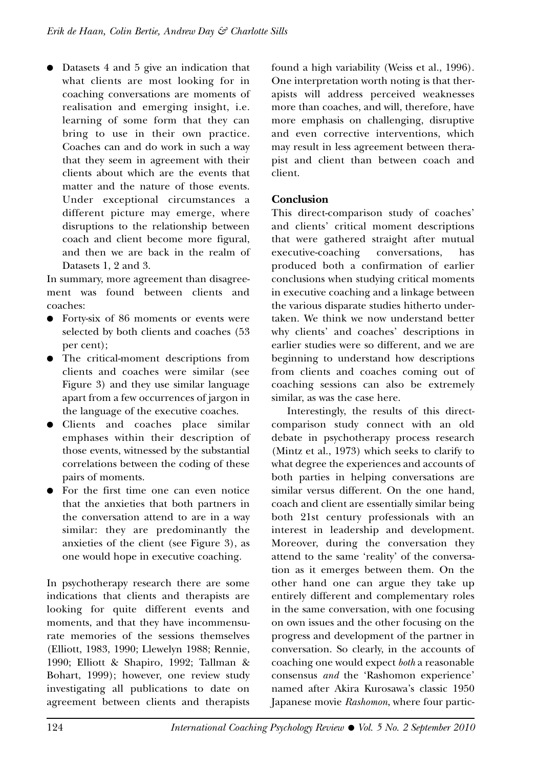● Datasets 4 and 5 give an indication that what clients are most looking for in coaching conversations are moments of realisation and emerging insight, i.e. learning of some form that they can bring to use in their own practice. Coaches can and do work in such a way that they seem in agreement with their clients about which are the events that matter and the nature of those events. Under exceptional circumstances a different picture may emerge, where disruptions to the relationship between coach and client become more figural, and then we are back in the realm of Datasets 1, 2 and 3.

In summary, more agreement than disagreement was found between clients and coaches:

- Forty-six of 86 moments or events were selected by both clients and coaches (53 per cent);
- The critical-moment descriptions from clients and coaches were similar (see Figure 3) and they use similar language apart from a few occurrences of jargon in the language of the executive coaches.
- Clients and coaches place similar emphases within their description of those events, witnessed by the substantial correlations between the coding of these pairs of moments.
- For the first time one can even notice that the anxieties that both partners in the conversation attend to are in a way similar: they are predominantly the anxieties of the client (see Figure 3), as one would hope in executive coaching.

In psychotherapy research there are some indications that clients and therapists are looking for quite different events and moments, and that they have incommensurate memories of the sessions themselves (Elliott, 1983, 1990; Llewelyn 1988; Rennie, 1990; Elliott & Shapiro, 1992; Tallman & Bohart, 1999); however, one review study investigating all publications to date on agreement between clients and therapists found a high variability (Weiss et al., 1996). One interpretation worth noting is that therapists will address perceived weaknesses more than coaches, and will, therefore, have more emphasis on challenging, disruptive and even corrective interventions, which may result in less agreement between therapist and client than between coach and client.

## **Conclusion**

This direct-comparison study of coaches' and clients' critical moment descriptions that were gathered straight after mutual executive-coaching conversations, has produced both a confirmation of earlier conclusions when studying critical moments in executive coaching and a linkage between the various disparate studies hitherto undertaken. We think we now understand better why clients' and coaches' descriptions in earlier studies were so different, and we are beginning to understand how descriptions from clients and coaches coming out of coaching sessions can also be extremely similar, as was the case here.

Interestingly, the results of this directcomparison study connect with an old debate in psychotherapy process research (Mintz et al., 1973) which seeks to clarify to what degree the experiences and accounts of both parties in helping conversations are similar versus different. On the one hand, coach and client are essentially similar being both 21st century professionals with an interest in leadership and development. Moreover, during the conversation they attend to the same 'reality' of the conversation as it emerges between them. On the other hand one can argue they take up entirely different and complementary roles in the same conversation, with one focusing on own issues and the other focusing on the progress and development of the partner in conversation. So clearly, in the accounts of coaching one would expect *both* a reasonable consensus *and* the 'Rashomon experience' named after Akira Kurosawa's classic 1950 Japanese movie *Rashomon*, where four partic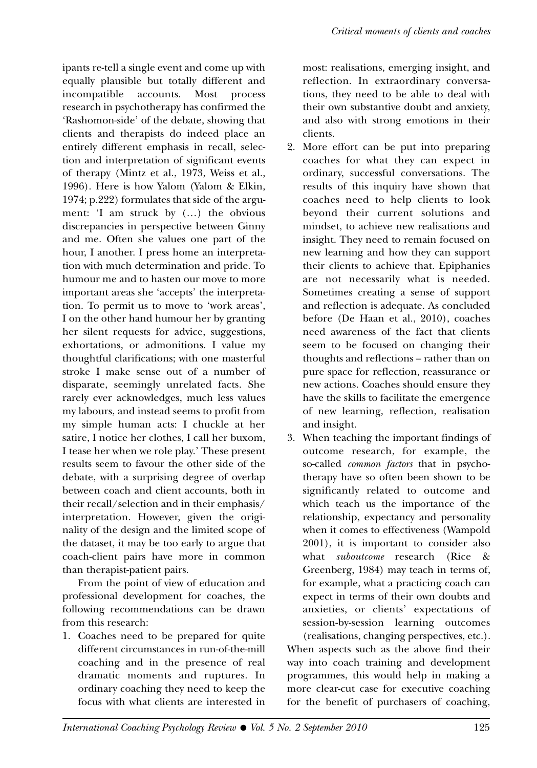ipants re-tell a single event and come up with equally plausible but totally different and incompatible accounts. Most process research in psychotherapy has confirmed the 'Rashomon-side' of the debate, showing that clients and therapists do indeed place an entirely different emphasis in recall, selection and interpretation of significant events of therapy (Mintz et al., 1973, Weiss et al., 1996). Here is how Yalom (Yalom & Elkin, 1974; p.222) formulates that side of the argument: 'I am struck by (…) the obvious discrepancies in perspective between Ginny and me. Often she values one part of the hour, I another. I press home an interpretation with much determination and pride. To humour me and to hasten our move to more important areas she 'accepts' the interpretation. To permit us to move to 'work areas', I on the other hand humour her by granting her silent requests for advice, suggestions, exhortations, or admonitions. I value my thoughtful clarifications; with one masterful stroke I make sense out of a number of disparate, seemingly unrelated facts. She rarely ever acknowledges, much less values my labours, and instead seems to profit from my simple human acts: I chuckle at her satire, I notice her clothes, I call her buxom, I tease her when we role play.' These present results seem to favour the other side of the debate, with a surprising degree of overlap between coach and client accounts, both in their recall/selection and in their emphasis/ interpretation. However, given the originality of the design and the limited scope of the dataset, it may be too early to argue that coach-client pairs have more in common than therapist-patient pairs.

From the point of view of education and professional development for coaches, the following recommendations can be drawn from this research:

1. Coaches need to be prepared for quite different circumstances in run-of-the-mill coaching and in the presence of real dramatic moments and ruptures. In ordinary coaching they need to keep the focus with what clients are interested in most: realisations, emerging insight, and reflection. In extraordinary conversations, they need to be able to deal with their own substantive doubt and anxiety, and also with strong emotions in their clients.

- 2. More effort can be put into preparing coaches for what they can expect in ordinary, successful conversations. The results of this inquiry have shown that coaches need to help clients to look beyond their current solutions and mindset, to achieve new realisations and insight. They need to remain focused on new learning and how they can support their clients to achieve that. Epiphanies are not necessarily what is needed. Sometimes creating a sense of support and reflection is adequate. As concluded before (De Haan et al., 2010), coaches need awareness of the fact that clients seem to be focused on changing their thoughts and reflections – rather than on pure space for reflection, reassurance or new actions. Coaches should ensure they have the skills to facilitate the emergence of new learning, reflection, realisation and insight.
- 3. When teaching the important findings of outcome research, for example, the so-called *common factors* that in psychotherapy have so often been shown to be significantly related to outcome and which teach us the importance of the relationship, expectancy and personality when it comes to effectiveness (Wampold 2001), it is important to consider also what *suboutcome* research (Rice & Greenberg, 1984) may teach in terms of, for example, what a practicing coach can expect in terms of their own doubts and anxieties, or clients' expectations of session-by-session learning outcomes (realisations, changing perspectives, etc.). When aspects such as the above find their

way into coach training and development programmes, this would help in making a more clear-cut case for executive coaching for the benefit of purchasers of coaching,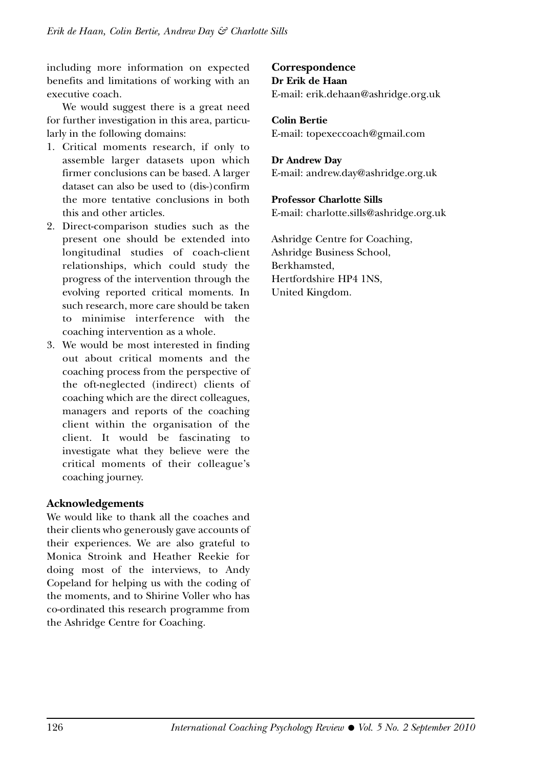including more information on expected benefits and limitations of working with an executive coach.

We would suggest there is a great need for further investigation in this area, particularly in the following domains:

- 1. Critical moments research, if only to assemble larger datasets upon which firmer conclusions can be based. A larger dataset can also be used to (dis-)confirm the more tentative conclusions in both this and other articles.
- 2. Direct-comparison studies such as the present one should be extended into longitudinal studies of coach-client relationships, which could study the progress of the intervention through the evolving reported critical moments. In such research, more care should be taken to minimise interference with the coaching intervention as a whole.
- 3. We would be most interested in finding out about critical moments and the coaching process from the perspective of the oft-neglected (indirect) clients of coaching which are the direct colleagues, managers and reports of the coaching client within the organisation of the client. It would be fascinating to investigate what they believe were the critical moments of their colleague's coaching journey.

#### **Acknowledgements**

We would like to thank all the coaches and their clients who generously gave accounts of their experiences. We are also grateful to Monica Stroink and Heather Reekie for doing most of the interviews, to Andy Copeland for helping us with the coding of the moments, and to Shirine Voller who has co-ordinated this research programme from the Ashridge Centre for Coaching.

## **Correspondence Dr Erik de Haan**

E-mail: erik.dehaan@ashridge.org.uk

**Colin Bertie** E-mail: topexeccoach@gmail.com

#### **Dr Andrew Day**

E-mail: andrew.day@ashridge.org.uk

#### **Professor Charlotte Sills**

E-mail: charlotte.sills@ashridge.org.uk

Ashridge Centre for Coaching, Ashridge Business School, Berkhamsted, Hertfordshire HP4 1NS, United Kingdom.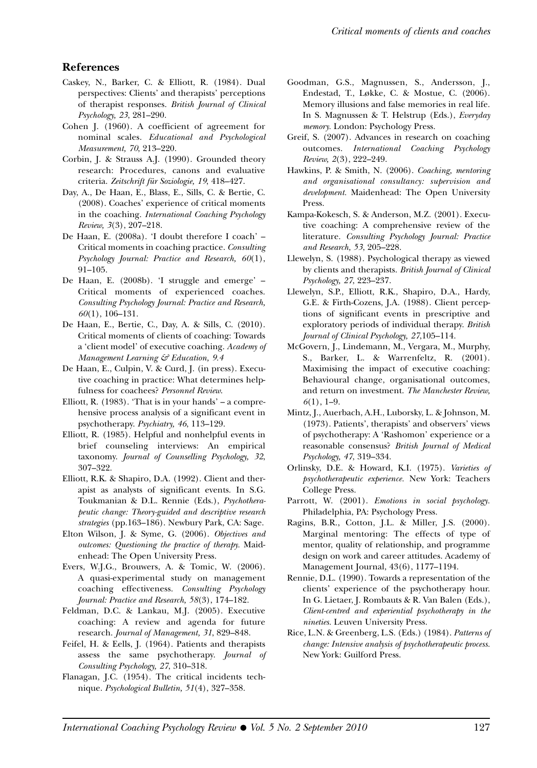#### **References**

- Caskey, N., Barker, C. & Elliott, R. (1984). Dual perspectives: Clients' and therapists' perceptions of therapist responses. *British Journal of Clinical Psychology, 23*, 281–290.
- Cohen J. (1960). A coefficient of agreement for nominal scales. *Educational and Psychological Measurement, 70*, 213–220.
- Corbin, J. & Strauss A.J. (1990). Grounded theory research: Procedures, canons and evaluative criteria. *Zeitschrift für Soziologie, 19*, 418–427.
- Day, A., De Haan, E., Blass, E., Sills, C. & Bertie, C. (2008). Coaches' experience of critical moments in the coaching. *International Coaching Psychology Review, 3*(3), 207–218.
- De Haan, E. (2008a). 'I doubt therefore I coach' Critical moments in coaching practice. *Consulting Psychology Journal: Practice and Research, 60*(1), 91–105.
- De Haan, E. (2008b). 'I struggle and emerge' Critical moments of experienced coaches. *Consulting Psychology Journal: Practice and Research, 60*(1), 106–131.
- De Haan, E., Bertie, C., Day, A. & Sills, C. (2010). Critical moments of clients of coaching: Towards a 'client model' of executive coaching. *Academy of Management Learning & Education, 9.4*
- De Haan, E., Culpin, V. & Curd, J. (in press). Executive coaching in practice: What determines helpfulness for coachees? *Personnel Review*.
- Elliott, R.  $(1983)$ . 'That is in your hands' a comprehensive process analysis of a significant event in psychotherapy. *Psychiatry, 46*, 113–129.
- Elliott, R. (1985). Helpful and nonhelpful events in brief counseling interviews: An empirical taxonomy. *Journal of Counselling Psychology, 32*, 307–322.
- Elliott, R.K. & Shapiro, D.A. (1992). Client and therapist as analysts of significant events. In S.G. Toukmanian & D.L. Rennie (Eds.), *Psychotherapeutic change: Theory-guided and descriptive research strategies* (pp.163–186). Newbury Park, CA: Sage.
- Elton Wilson, J. & Syme, G. (2006). *Objectives and outcomes: Questioning the practice of therapy.* Maidenhead: The Open University Press.
- Evers, W.J.G., Brouwers, A. & Tomic, W. (2006). A quasi-experimental study on management coaching effectiveness. *Consulting Psychology Journal: Practice and Research, 58*(3), 174–182.
- Feldman, D.C. & Lankau, M.J. (2005). Executive coaching: A review and agenda for future research. *Journal of Management, 31*, 829–848.
- Feifel, H. & Eells, J. (1964). Patients and therapists assess the same psychotherapy. *Journal of Consulting Psychology, 27*, 310–318.
- Flanagan, J.C. (1954). The critical incidents technique. *Psychological Bulletin, 51*(4), 327–358.
- Goodman, G.S., Magnussen, S., Andersson, J., Endestad, T., Løkke, C. & Mostue, C. (2006). Memory illusions and false memories in real life. In S. Magnussen & T. Helstrup (Eds.), *Everyday memory.* London: Psychology Press.
- Greif, S. (2007). Advances in research on coaching outcomes. *International Coaching Psychology Review, 2*(3), 222–249.
- Hawkins, P. & Smith, N. (2006). *Coaching, mentoring and organisational consultancy: supervision and development.* Maidenhead: The Open University Press.
- Kampa-Kokesch, S. & Anderson, M.Z. (2001). Executive coaching: A comprehensive review of the literature. *Consulting Psychology Journal: Practice and Research, 53*, 205–228.
- Llewelyn, S. (1988). Psychological therapy as viewed by clients and therapists. *British Journal of Clinical Psychology, 27*, 223–237.
- Llewelyn, S.P., Elliott, R.K., Shapiro, D.A., Hardy, G.E. & Firth-Cozens, J.A. (1988). Client perceptions of significant events in prescriptive and exploratory periods of individual therapy. *British Journal of Clinical Psychology, 27*,105–114.
- McGovern, J., Lindemann, M., Vergara, M., Murphy, S., Barker, L. & Warrenfeltz, R. (2001). Maximising the impact of executive coaching: Behavioural change, organisational outcomes, and return on investment. *The Manchester Review, 6*(1), 1–9.
- Mintz, J., Auerbach, A.H., Luborsky, L. & Johnson, M. (1973). Patients', therapists' and observers' views of psychotherapy: A 'Rashomon' experience or a reasonable consensus? *British Journal of Medical Psychology, 47*, 319–334.
- Orlinsky, D.E. & Howard, K.I. (1975). *Varieties of psychotherapeutic experience.* New York: Teachers College Press.
- Parrott, W. (2001). *Emotions in social psychology.* Philadelphia, PA: Psychology Press.
- Ragins, B.R., Cotton, J.L. & Miller, J.S. (2000). Marginal mentoring: The effects of type of mentor, quality of relationship, and programme design on work and career attitudes. Academy of Management Journal, 43(6), 1177–1194.
- Rennie, D.L. (1990). Towards a representation of the clients' experience of the psychotherapy hour. In G. Lietaer, J. Rombauts & R. Van Balen (Eds.), *Client-centred and experiential psychotherapy in the nineties.* Leuven University Press.
- Rice, L.N. & Greenberg, L.S. (Eds.) (1984). *Patterns of change: Intensive analysis of psychotherapeutic process.* New York: Guilford Press.